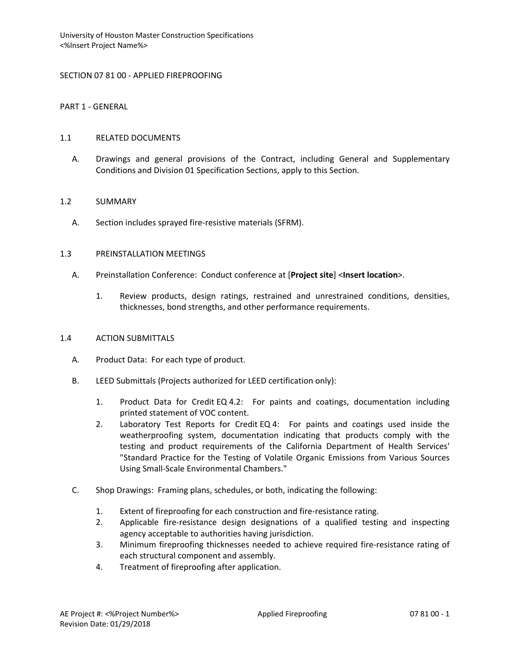#### SECTION 07 81 00 - APPLIED FIREPROOFING

PART 1 - GENERAL

#### 1.1 RELATED DOCUMENTS

A. Drawings and general provisions of the Contract, including General and Supplementary Conditions and Division 01 Specification Sections, apply to this Section.

#### 1.2 SUMMARY

A. Section includes sprayed fire-resistive materials (SFRM).

#### 1.3 PREINSTALLATION MEETINGS

- A. Preinstallation Conference: Conduct conference at [**Project site**] <**Insert location**>.
	- 1. Review products, design ratings, restrained and unrestrained conditions, densities, thicknesses, bond strengths, and other performance requirements.

#### 1.4 ACTION SUBMITTALS

- A. Product Data: For each type of product.
- B. LEED Submittals (Projects authorized for LEED certification only):
	- 1. Product Data for Credit EQ 4.2: For paints and coatings, documentation including printed statement of VOC content.
	- 2. Laboratory Test Reports for Credit EQ 4: For paints and coatings used inside the weatherproofing system, documentation indicating that products comply with the testing and product requirements of the California Department of Health Services' "Standard Practice for the Testing of Volatile Organic Emissions from Various Sources Using Small-Scale Environmental Chambers."
- C. Shop Drawings: Framing plans, schedules, or both, indicating the following:
	- 1. Extent of fireproofing for each construction and fire-resistance rating.
	- 2. Applicable fire-resistance design designations of a qualified testing and inspecting agency acceptable to authorities having jurisdiction.
	- 3. Minimum fireproofing thicknesses needed to achieve required fire-resistance rating of each structural component and assembly.
	- 4. Treatment of fireproofing after application.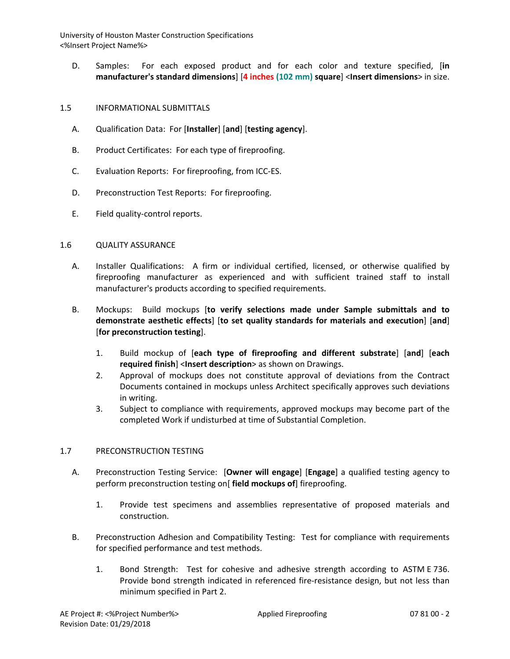- D. Samples: For each exposed product and for each color and texture specified, [**in manufacturer's standard dimensions**] [**4 inches (102 mm) square**] <**Insert dimensions**> in size.
- 1.5 INFORMATIONAL SUBMITTALS
	- A. Qualification Data: For [**Installer**] [**and**] [**testing agency**].
	- B. Product Certificates: For each type of fireproofing.
	- C. Evaluation Reports: For fireproofing, from ICC-ES.
	- D. Preconstruction Test Reports: For fireproofing.
	- E. Field quality-control reports.

#### 1.6 QUALITY ASSURANCE

- A. Installer Qualifications: A firm or individual certified, licensed, or otherwise qualified by fireproofing manufacturer as experienced and with sufficient trained staff to install manufacturer's products according to specified requirements.
- B. Mockups: Build mockups [**to verify selections made under Sample submittals and to demonstrate aesthetic effects**] [**to set quality standards for materials and execution**] [**and**] [**for preconstruction testing**].
	- 1. Build mockup of [**each type of fireproofing and different substrate**] [**and**] [**each required finish**] <**Insert description**> as shown on Drawings.
	- 2. Approval of mockups does not constitute approval of deviations from the Contract Documents contained in mockups unless Architect specifically approves such deviations in writing.
	- 3. Subject to compliance with requirements, approved mockups may become part of the completed Work if undisturbed at time of Substantial Completion.

## 1.7 PRECONSTRUCTION TESTING

- A. Preconstruction Testing Service: [**Owner will engage**] [**Engage**] a qualified testing agency to perform preconstruction testing on[ **field mockups of**] fireproofing.
	- 1. Provide test specimens and assemblies representative of proposed materials and construction.
- B. Preconstruction Adhesion and Compatibility Testing: Test for compliance with requirements for specified performance and test methods.
	- 1. Bond Strength: Test for cohesive and adhesive strength according to ASTM E 736. Provide bond strength indicated in referenced fire-resistance design, but not less than minimum specified in Part 2.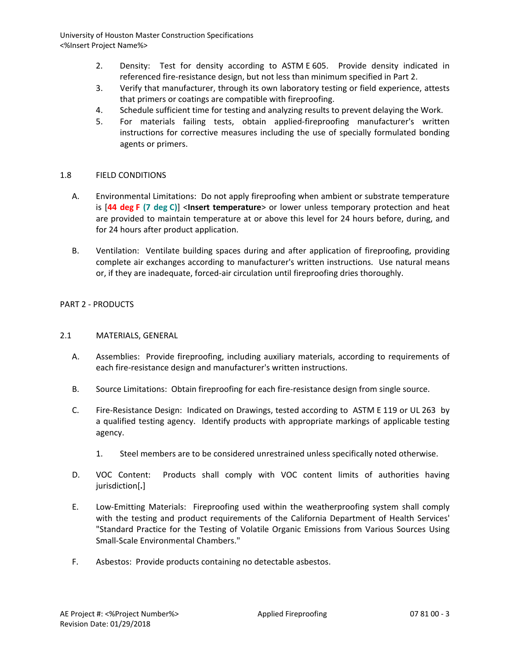- 2. Density: Test for density according to ASTM E 605. Provide density indicated in referenced fire-resistance design, but not less than minimum specified in Part 2.
- 3. Verify that manufacturer, through its own laboratory testing or field experience, attests that primers or coatings are compatible with fireproofing.
- 4. Schedule sufficient time for testing and analyzing results to prevent delaying the Work.
- 5. For materials failing tests, obtain applied-fireproofing manufacturer's written instructions for corrective measures including the use of specially formulated bonding agents or primers.

## 1.8 FIELD CONDITIONS

- A. Environmental Limitations: Do not apply fireproofing when ambient or substrate temperature is [**44 deg F (7 deg C)**] <**Insert temperature**> or lower unless temporary protection and heat are provided to maintain temperature at or above this level for 24 hours before, during, and for 24 hours after product application.
- B. Ventilation: Ventilate building spaces during and after application of fireproofing, providing complete air exchanges according to manufacturer's written instructions. Use natural means or, if they are inadequate, forced-air circulation until fireproofing dries thoroughly.

# PART 2 - PRODUCTS

- 2.1 MATERIALS, GENERAL
	- A. Assemblies: Provide fireproofing, including auxiliary materials, according to requirements of each fire-resistance design and manufacturer's written instructions.
	- B. Source Limitations: Obtain fireproofing for each fire-resistance design from single source.
	- C. Fire-Resistance Design: Indicated on Drawings, tested according to ASTM E 119 or UL 263 by a qualified testing agency. Identify products with appropriate markings of applicable testing agency.
		- 1. Steel members are to be considered unrestrained unless specifically noted otherwise.
	- D. VOC Content: Products shall comply with VOC content limits of authorities having jurisdiction[**.**]
	- E. Low-Emitting Materials: Fireproofing used within the weatherproofing system shall comply with the testing and product requirements of the California Department of Health Services' "Standard Practice for the Testing of Volatile Organic Emissions from Various Sources Using Small-Scale Environmental Chambers."
	- F. Asbestos: Provide products containing no detectable asbestos.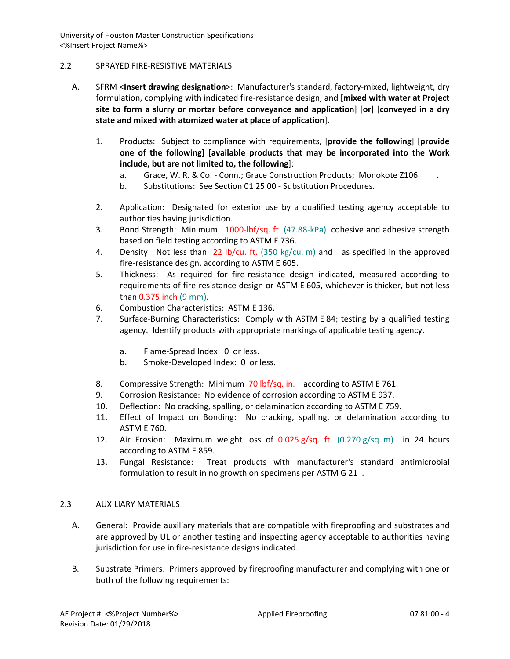## 2.2 SPRAYED FIRE-RESISTIVE MATERIALS

- A. SFRM <**Insert drawing designation**>: Manufacturer's standard, factory-mixed, lightweight, dry formulation, complying with indicated fire-resistance design, and [**mixed with water at Project site to form a slurry or mortar before conveyance and application**] [**or**] [**conveyed in a dry state and mixed with atomized water at place of application**].
	- 1. Products: Subject to compliance with requirements, [**provide the following**] [**provide one of the following**] [**available products that may be incorporated into the Work include, but are not limited to, the following**]:
		- a. Grace, W. R. & Co. Conn.; Grace Construction Products; Monokote Z106 .
		- b. Substitutions: See Section 01 25 00 Substitution Procedures.
	- 2. Application: Designated for exterior use by a qualified testing agency acceptable to authorities having jurisdiction.
	- 3. Bond Strength: Minimum 1000-lbf/sq. ft. (47.88-kPa) cohesive and adhesive strength based on field testing according to ASTM E 736.
	- 4. Density: Not less than 22 lb/cu. ft.  $(350 \text{ kg/cu. m})$  and as specified in the approved fire-resistance design, according to ASTM E 605.
	- 5. Thickness: As required for fire-resistance design indicated, measured according to requirements of fire-resistance design or ASTM E 605, whichever is thicker, but not less than 0.375 inch (9 mm).
	- 6. Combustion Characteristics: ASTM E 136.
	- 7. Surface-Burning Characteristics: Comply with ASTM E 84; testing by a qualified testing agency. Identify products with appropriate markings of applicable testing agency.
		- a. Flame-Spread Index: 0 or less.
		- b. Smoke-Developed Index: 0 or less.
	- 8. Compressive Strength: Minimum 70 lbf/sq. in. according to ASTM E 761.
	- 9. Corrosion Resistance: No evidence of corrosion according to ASTM E 937.
	- 10. Deflection: No cracking, spalling, or delamination according to ASTM E 759.
	- 11. Effect of Impact on Bonding: No cracking, spalling, or delamination according to ASTM E 760.
	- 12. Air Erosion: Maximum weight loss of  $0.025$  g/sq. ft.  $(0.270$  g/sq. m) in 24 hours according to ASTM E 859.
	- 13. Fungal Resistance: Treat products with manufacturer's standard antimicrobial formulation to result in no growth on specimens per ASTM G 21 .

#### 2.3 AUXILIARY MATERIALS

- A. General: Provide auxiliary materials that are compatible with fireproofing and substrates and are approved by UL or another testing and inspecting agency acceptable to authorities having jurisdiction for use in fire-resistance designs indicated.
- B. Substrate Primers: Primers approved by fireproofing manufacturer and complying with one or both of the following requirements: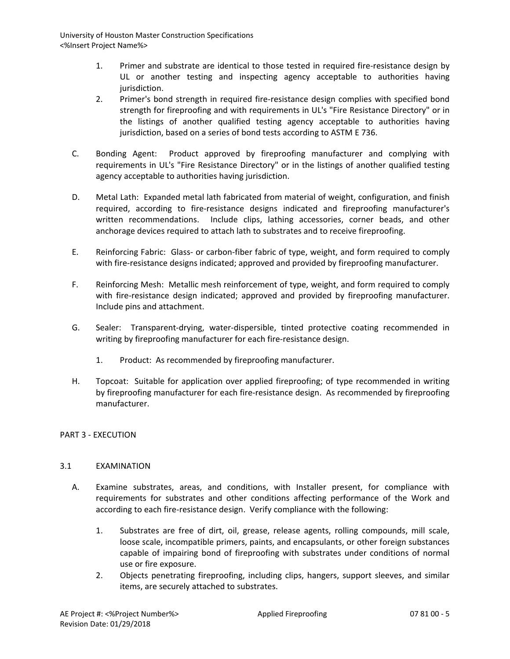- 1. Primer and substrate are identical to those tested in required fire-resistance design by UL or another testing and inspecting agency acceptable to authorities having jurisdiction.
- 2. Primer's bond strength in required fire-resistance design complies with specified bond strength for fireproofing and with requirements in UL's "Fire Resistance Directory" or in the listings of another qualified testing agency acceptable to authorities having jurisdiction, based on a series of bond tests according to ASTM E 736.
- C. Bonding Agent: Product approved by fireproofing manufacturer and complying with requirements in UL's "Fire Resistance Directory" or in the listings of another qualified testing agency acceptable to authorities having jurisdiction.
- D. Metal Lath: Expanded metal lath fabricated from material of weight, configuration, and finish required, according to fire-resistance designs indicated and fireproofing manufacturer's written recommendations. Include clips, lathing accessories, corner beads, and other anchorage devices required to attach lath to substrates and to receive fireproofing.
- E. Reinforcing Fabric: Glass- or carbon-fiber fabric of type, weight, and form required to comply with fire-resistance designs indicated; approved and provided by fireproofing manufacturer.
- F. Reinforcing Mesh: Metallic mesh reinforcement of type, weight, and form required to comply with fire-resistance design indicated; approved and provided by fireproofing manufacturer. Include pins and attachment.
- G. Sealer: Transparent-drying, water-dispersible, tinted protective coating recommended in writing by fireproofing manufacturer for each fire-resistance design.
	- 1. Product: As recommended by fireproofing manufacturer.
- H. Topcoat: Suitable for application over applied fireproofing; of type recommended in writing by fireproofing manufacturer for each fire-resistance design. As recommended by fireproofing manufacturer.

## PART 3 - EXECUTION

## 3.1 EXAMINATION

- A. Examine substrates, areas, and conditions, with Installer present, for compliance with requirements for substrates and other conditions affecting performance of the Work and according to each fire-resistance design. Verify compliance with the following:
	- 1. Substrates are free of dirt, oil, grease, release agents, rolling compounds, mill scale, loose scale, incompatible primers, paints, and encapsulants, or other foreign substances capable of impairing bond of fireproofing with substrates under conditions of normal use or fire exposure.
	- 2. Objects penetrating fireproofing, including clips, hangers, support sleeves, and similar items, are securely attached to substrates.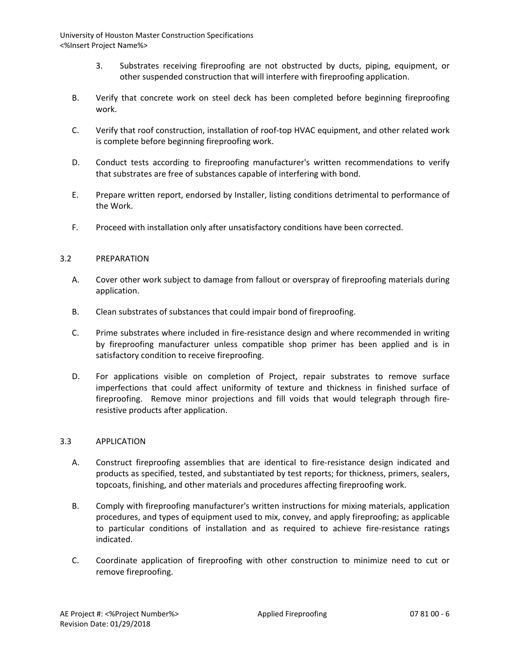- 3. Substrates receiving fireproofing are not obstructed by ducts, piping, equipment, or other suspended construction that will interfere with fireproofing application.
- B. Verify that concrete work on steel deck has been completed before beginning fireproofing work.
- C. Verify that roof construction, installation of roof-top HVAC equipment, and other related work is complete before beginning fireproofing work.
- D. Conduct tests according to fireproofing manufacturer's written recommendations to verify that substrates are free of substances capable of interfering with bond.
- E. Prepare written report, endorsed by Installer, listing conditions detrimental to performance of the Work.
- F. Proceed with installation only after unsatisfactory conditions have been corrected.

## 3.2 PREPARATION

- A. Cover other work subject to damage from fallout or overspray of fireproofing materials during application.
- B. Clean substrates of substances that could impair bond of fireproofing.
- C. Prime substrates where included in fire-resistance design and where recommended in writing by fireproofing manufacturer unless compatible shop primer has been applied and is in satisfactory condition to receive fireproofing.
- D. For applications visible on completion of Project, repair substrates to remove surface imperfections that could affect uniformity of texture and thickness in finished surface of fireproofing. Remove minor projections and fill voids that would telegraph through fireresistive products after application.

## 3.3 APPLICATION

- A. Construct fireproofing assemblies that are identical to fire-resistance design indicated and products as specified, tested, and substantiated by test reports; for thickness, primers, sealers, topcoats, finishing, and other materials and procedures affecting fireproofing work.
- B. Comply with fireproofing manufacturer's written instructions for mixing materials, application procedures, and types of equipment used to mix, convey, and apply fireproofing; as applicable to particular conditions of installation and as required to achieve fire-resistance ratings indicated.
- C. Coordinate application of fireproofing with other construction to minimize need to cut or remove fireproofing.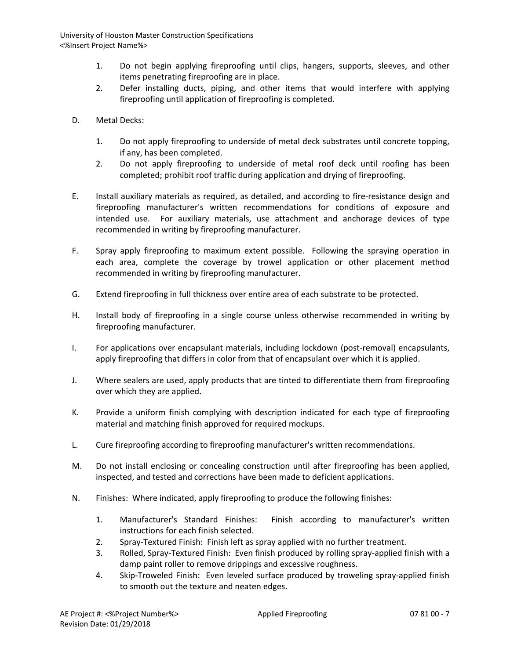- 1. Do not begin applying fireproofing until clips, hangers, supports, sleeves, and other items penetrating fireproofing are in place.
- 2. Defer installing ducts, piping, and other items that would interfere with applying fireproofing until application of fireproofing is completed.
- D. Metal Decks:
	- 1. Do not apply fireproofing to underside of metal deck substrates until concrete topping, if any, has been completed.
	- 2. Do not apply fireproofing to underside of metal roof deck until roofing has been completed; prohibit roof traffic during application and drying of fireproofing.
- E. Install auxiliary materials as required, as detailed, and according to fire-resistance design and fireproofing manufacturer's written recommendations for conditions of exposure and intended use. For auxiliary materials, use attachment and anchorage devices of type recommended in writing by fireproofing manufacturer.
- F. Spray apply fireproofing to maximum extent possible. Following the spraying operation in each area, complete the coverage by trowel application or other placement method recommended in writing by fireproofing manufacturer.
- G. Extend fireproofing in full thickness over entire area of each substrate to be protected.
- H. Install body of fireproofing in a single course unless otherwise recommended in writing by fireproofing manufacturer.
- I. For applications over encapsulant materials, including lockdown (post-removal) encapsulants, apply fireproofing that differs in color from that of encapsulant over which it is applied.
- J. Where sealers are used, apply products that are tinted to differentiate them from fireproofing over which they are applied.
- K. Provide a uniform finish complying with description indicated for each type of fireproofing material and matching finish approved for required mockups.
- L. Cure fireproofing according to fireproofing manufacturer's written recommendations.
- M. Do not install enclosing or concealing construction until after fireproofing has been applied, inspected, and tested and corrections have been made to deficient applications.
- N. Finishes: Where indicated, apply fireproofing to produce the following finishes:
	- 1. Manufacturer's Standard Finishes: Finish according to manufacturer's written instructions for each finish selected.
	- 2. Spray-Textured Finish: Finish left as spray applied with no further treatment.
	- 3. Rolled, Spray-Textured Finish: Even finish produced by rolling spray-applied finish with a damp paint roller to remove drippings and excessive roughness.
	- 4. Skip-Troweled Finish: Even leveled surface produced by troweling spray-applied finish to smooth out the texture and neaten edges.